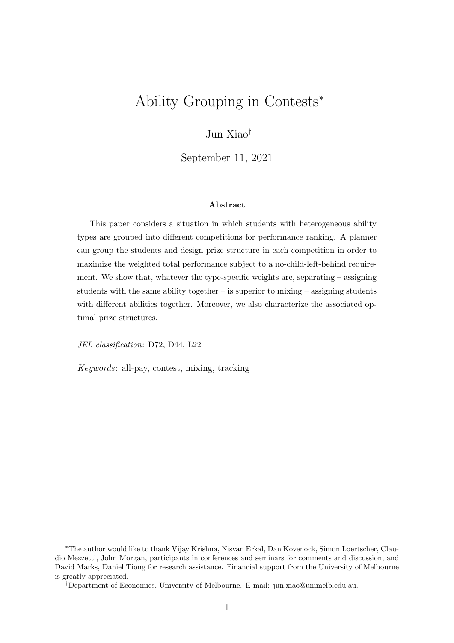# Ability Grouping in Contests<sup>∗</sup>

Jun Xiao†

September 11, 2021

#### Abstract

This paper considers a situation in which students with heterogeneous ability types are grouped into different competitions for performance ranking. A planner can group the students and design prize structure in each competition in order to maximize the weighted total performance subject to a no-child-left-behind requirement. We show that, whatever the type-specific weights are, separating – assigning students with the same ability together  $-$  is superior to mixing  $-$  assigning students with different abilities together. Moreover, we also characterize the associated optimal prize structures.

JEL classification: D72, D44, L22

Keywords: all-pay, contest, mixing, tracking

<sup>∗</sup>The author would like to thank Vijay Krishna, Nisvan Erkal, Dan Kovenock, Simon Loertscher, Claudio Mezzetti, John Morgan, participants in conferences and seminars for comments and discussion, and David Marks, Daniel Tiong for research assistance. Financial support from the University of Melbourne is greatly appreciated.

<sup>†</sup>Department of Economics, University of Melbourne. E-mail: jun.xiao@unimelb.edu.au.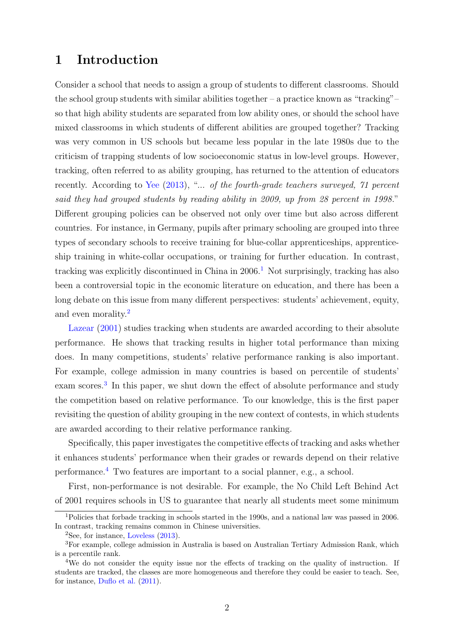## 1 Introduction

Consider a school that needs to assign a group of students to different classrooms. Should the school group students with similar abilities together – a practice known as "tracking"– so that high ability students are separated from low ability ones, or should the school have mixed classrooms in which students of different abilities are grouped together? Tracking was very common in US schools but became less popular in the late 1980s due to the criticism of trapping students of low socioeconomic status in low-level groups. However, tracking, often referred to as ability grouping, has returned to the attention of educators recently. According to [Yee](#page-21-0) [\(2013\)](#page-21-0), "... of the fourth-grade teachers surveyed, 71 percent said they had grouped students by reading ability in 2009, up from 28 percent in 1998." Different grouping policies can be observed not only over time but also across different countries. For instance, in Germany, pupils after primary schooling are grouped into three types of secondary schools to receive training for blue-collar apprenticeships, apprenticeship training in white-collar occupations, or training for further education. In contrast, tracking was explicitly discontinued in China in  $2006<sup>1</sup>$  $2006<sup>1</sup>$  $2006<sup>1</sup>$  Not surprisingly, tracking has also been a controversial topic in the economic literature on education, and there has been a long debate on this issue from many different perspectives: students' achievement, equity, and even morality.[2](#page-1-1)

[Lazear](#page-20-0) [\(2001\)](#page-20-0) studies tracking when students are awarded according to their absolute performance. He shows that tracking results in higher total performance than mixing does. In many competitions, students' relative performance ranking is also important. For example, college admission in many countries is based on percentile of students' exam scores.<sup>[3](#page-1-2)</sup> In this paper, we shut down the effect of absolute performance and study the competition based on relative performance. To our knowledge, this is the first paper revisiting the question of ability grouping in the new context of contests, in which students are awarded according to their relative performance ranking.

Specifically, this paper investigates the competitive effects of tracking and asks whether it enhances students' performance when their grades or rewards depend on their relative performance.[4](#page-1-3) Two features are important to a social planner, e.g., a school.

First, non-performance is not desirable. For example, the No Child Left Behind Act of 2001 requires schools in US to guarantee that nearly all students meet some minimum

<span id="page-1-0"></span><sup>1</sup>Policies that forbade tracking in schools started in the 1990s, and a national law was passed in 2006. In contrast, tracking remains common in Chinese universities.

<span id="page-1-2"></span><span id="page-1-1"></span><sup>&</sup>lt;sup>2</sup>See, for instance, [Loveless](#page-20-1)  $(2013)$ .

<sup>3</sup>For example, college admission in Australia is based on Australian Tertiary Admission Rank, which is a percentile rank.

<span id="page-1-3"></span><sup>&</sup>lt;sup>4</sup>We do not consider the equity issue nor the effects of tracking on the quality of instruction. If students are tracked, the classes are more homogeneous and therefore they could be easier to teach. See, for instance, [Duflo et al.](#page-19-0) [\(2011\)](#page-19-0).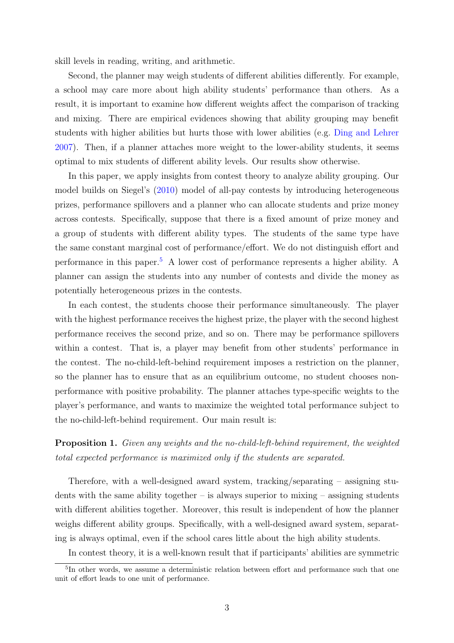skill levels in reading, writing, and arithmetic.

Second, the planner may weigh students of different abilities differently. For example, a school may care more about high ability students' performance than others. As a result, it is important to examine how different weights affect the comparison of tracking and mixing. There are empirical evidences showing that ability grouping may benefit students with higher abilities but hurts those with lower abilities (e.g. [Ding and Lehrer](#page-19-1) [2007\)](#page-19-1). Then, if a planner attaches more weight to the lower-ability students, it seems optimal to mix students of different ability levels. Our results show otherwise.

In this paper, we apply insights from contest theory to analyze ability grouping. Our model builds on Siegel's [\(2010\)](#page-21-1) model of all-pay contests by introducing heterogeneous prizes, performance spillovers and a planner who can allocate students and prize money across contests. Specifically, suppose that there is a fixed amount of prize money and a group of students with different ability types. The students of the same type have the same constant marginal cost of performance/effort. We do not distinguish effort and performance in this paper.[5](#page-2-0) A lower cost of performance represents a higher ability. A planner can assign the students into any number of contests and divide the money as potentially heterogeneous prizes in the contests.

In each contest, the students choose their performance simultaneously. The player with the highest performance receives the highest prize, the player with the second highest performance receives the second prize, and so on. There may be performance spillovers within a contest. That is, a player may benefit from other students' performance in the contest. The no-child-left-behind requirement imposes a restriction on the planner, so the planner has to ensure that as an equilibrium outcome, no student chooses nonperformance with positive probability. The planner attaches type-specific weights to the player's performance, and wants to maximize the weighted total performance subject to the no-child-left-behind requirement. Our main result is:

**Proposition 1.** Given any weights and the no-child-left-behind requirement, the weighted total expected performance is maximized only if the students are separated.

Therefore, with a well-designed award system, tracking/separating – assigning students with the same ability together – is always superior to mixing – assigning students with different abilities together. Moreover, this result is independent of how the planner weighs different ability groups. Specifically, with a well-designed award system, separating is always optimal, even if the school cares little about the high ability students.

<span id="page-2-0"></span>In contest theory, it is a well-known result that if participants' abilities are symmetric

<sup>5</sup> In other words, we assume a deterministic relation between effort and performance such that one unit of effort leads to one unit of performance.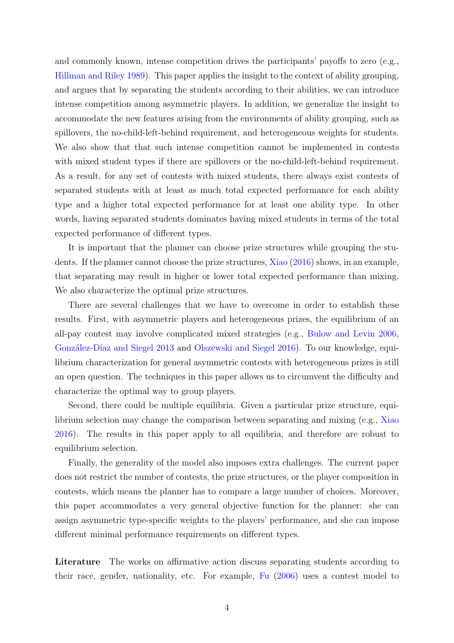and commonly known, intense competition drives the participants' payoffs to zero (e.g., [Hillman and Riley](#page-20-2) [1989\)](#page-20-2). This paper applies the insight to the context of ability grouping, and argues that by separating the students according to their abilities, we can introduce intense competition among asymmetric players. In addition, we generalize the insight to accommodate the new features arising from the environments of ability grouping, such as spillovers, the no-child-left-behind requirement, and heterogeneous weights for students. We also show that that such intense competition cannot be implemented in contests with mixed student types if there are spillovers or the no-child-left-behind requirement. As a result, for any set of contests with mixed students, there always exist contests of separated students with at least as much total expected performance for each ability type and a higher total expected performance for at least one ability type. In other words, having separated students dominates having mixed students in terms of the total expected performance of different types.

It is important that the planner can choose prize structures while grouping the students. If the planner cannot choose the prize structures, [Xiao](#page-21-2) [\(2016\)](#page-21-2) shows, in an example, that separating may result in higher or lower total expected performance than mixing. We also characterize the optimal prize structures.

There are several challenges that we have to overcome in order to establish these results. First, with asymmetric players and heterogeneous prizes, the equilibrium of an all-pay contest may involve complicated mixed strategies (e.g., [Bulow and Levin](#page-19-2) [2006,](#page-19-2) González-Díaz and Siegel [2013](#page-20-3) and [Olszewski and Siegel](#page-20-4) [2016\)](#page-20-4). To our knowledge, equilibrium characterization for general asymmetric contests with heterogeneous prizes is still an open question. The techniques in this paper allows us to circumvent the difficulty and characterize the optimal way to group players.

Second, there could be multiple equilibria. Given a particular prize structure, equilibrium selection may change the comparison between separating and mixing (e.g., [Xiao](#page-21-2) [2016\)](#page-21-2). The results in this paper apply to all equilibria, and therefore are robust to equilibrium selection.

Finally, the generality of the model also imposes extra challenges. The current paper does not restrict the number of contests, the prize structures, or the player composition in contests, which means the planner has to compare a large number of choices. Moreover, this paper accommodates a very general objective function for the planner: she can assign asymmetric type-specific weights to the players' performance, and she can impose different minimal performance requirements on different types.

Literature The works on affirmative action discuss separating students according to their race, gender, nationality, etc. For example, [Fu](#page-20-5) [\(2006\)](#page-20-5) uses a contest model to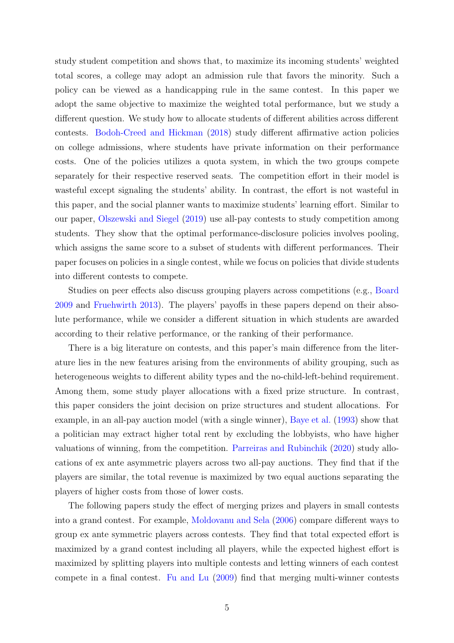study student competition and shows that, to maximize its incoming students' weighted total scores, a college may adopt an admission rule that favors the minority. Such a policy can be viewed as a handicapping rule in the same contest. In this paper we adopt the same objective to maximize the weighted total performance, but we study a different question. We study how to allocate students of different abilities across different contests. [Bodoh-Creed and Hickman](#page-19-3) [\(2018\)](#page-19-3) study different affirmative action policies on college admissions, where students have private information on their performance costs. One of the policies utilizes a quota system, in which the two groups compete separately for their respective reserved seats. The competition effort in their model is wasteful except signaling the students' ability. In contrast, the effort is not wasteful in this paper, and the social planner wants to maximize students' learning effort. Similar to our paper, [Olszewski and Siegel](#page-20-6) [\(2019\)](#page-20-6) use all-pay contests to study competition among students. They show that the optimal performance-disclosure policies involves pooling, which assigns the same score to a subset of students with different performances. Their paper focuses on policies in a single contest, while we focus on policies that divide students into different contests to compete.

Studies on peer effects also discuss grouping players across competitions (e.g., [Board](#page-19-4) [2009](#page-19-4) and [Fruehwirth](#page-19-5) [2013\)](#page-19-5). The players' payoffs in these papers depend on their absolute performance, while we consider a different situation in which students are awarded according to their relative performance, or the ranking of their performance.

There is a big literature on contests, and this paper's main difference from the literature lies in the new features arising from the environments of ability grouping, such as heterogeneous weights to different ability types and the no-child-left-behind requirement. Among them, some study player allocations with a fixed prize structure. In contrast, this paper considers the joint decision on prize structures and student allocations. For example, in an all-pay auction model (with a single winner), [Baye et al.](#page-19-6) [\(1993\)](#page-19-6) show that a politician may extract higher total rent by excluding the lobbyists, who have higher valuations of winning, from the competition. [Parreiras and Rubinchik](#page-20-7) [\(2020\)](#page-20-7) study allocations of ex ante asymmetric players across two all-pay auctions. They find that if the players are similar, the total revenue is maximized by two equal auctions separating the players of higher costs from those of lower costs.

The following papers study the effect of merging prizes and players in small contests into a grand contest. For example, [Moldovanu and Sela](#page-20-8) [\(2006\)](#page-20-8) compare different ways to group ex ante symmetric players across contests. They find that total expected effort is maximized by a grand contest including all players, while the expected highest effort is maximized by splitting players into multiple contests and letting winners of each contest compete in a final contest. [Fu and Lu](#page-20-9) [\(2009\)](#page-20-9) find that merging multi-winner contests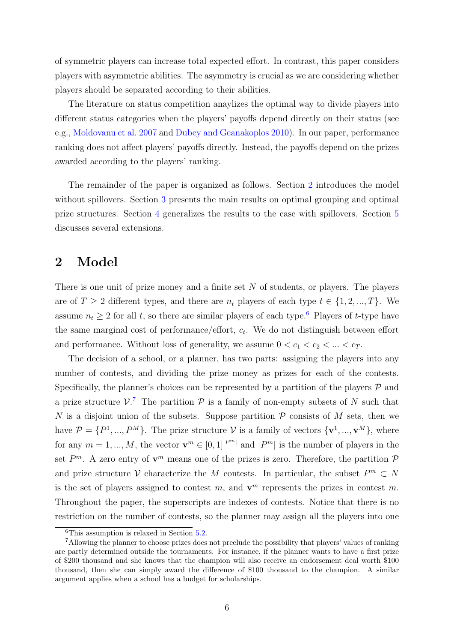of symmetric players can increase total expected effort. In contrast, this paper considers players with asymmetric abilities. The asymmetry is crucial as we are considering whether players should be separated according to their abilities.

The literature on status competition anaylizes the optimal way to divide players into different status categories when the players' payoffs depend directly on their status (see e.g., [Moldovanu et al.](#page-20-10) [2007](#page-20-10) and [Dubey and Geanakoplos](#page-19-7) [2010\)](#page-19-7). In our paper, performance ranking does not affect players' payoffs directly. Instead, the payoffs depend on the prizes awarded according to the players' ranking.

The remainder of the paper is organized as follows. Section [2](#page-5-0) introduces the model without spillovers. Section [3](#page-7-0) presents the main results on optimal grouping and optimal prize structures. Section [4](#page-13-0) generalizes the results to the case with spillovers. Section [5](#page-15-0) discusses several extensions.

### <span id="page-5-0"></span>2 Model

There is one unit of prize money and a finite set  $N$  of students, or players. The players are of  $T \geq 2$  different types, and there are  $n_t$  players of each type  $t \in \{1, 2, ..., T\}$ . We assume  $n_t \geq 2$  for all t, so there are similar players of each type.<sup>[6](#page-5-1)</sup> Players of t-type have the same marginal cost of performance/effort,  $c_t$ . We do not distinguish between effort and performance. Without loss of generality, we assume  $0 < c_1 < c_2 < ... < c_T$ .

The decision of a school, or a planner, has two parts: assigning the players into any number of contests, and dividing the prize money as prizes for each of the contests. Specifically, the planner's choices can be represented by a partition of the players  $P$  and a prize structure  $V^7$  $V^7$ . The partition  $P$  is a family of non-empty subsets of N such that N is a disjoint union of the subsets. Suppose partition  $P$  consists of M sets, then we have  $\mathcal{P} = \{P^1, ..., P^M\}$ . The prize structure V is a family of vectors  $\{\mathbf{v}^1, ..., \mathbf{v}^M\}$ , where for any  $m = 1, ..., M$ , the vector  $\mathbf{v}^m \in [0, 1]^{|\mathcal{P}^m|}$  and  $|\mathcal{P}^m|$  is the number of players in the set  $P^m$ . A zero entry of  $\mathbf{v}^m$  means one of the prizes is zero. Therefore, the partition  $\mathcal P$ and prize structure V characterize the M contests. In particular, the subset  $P^m \subset N$ is the set of players assigned to contest m, and  $\mathbf{v}^m$  represents the prizes in contest m. Throughout the paper, the superscripts are indexes of contests. Notice that there is no restriction on the number of contests, so the planner may assign all the players into one

<span id="page-5-2"></span><span id="page-5-1"></span> ${}^{6}$ This assumption is relaxed in Section [5.2.](#page-17-0)

<sup>7</sup>Allowing the planner to choose prizes does not preclude the possibility that players' values of ranking are partly determined outside the tournaments. For instance, if the planner wants to have a first prize of \$200 thousand and she knows that the champion will also receive an endorsement deal worth \$100 thousand, then she can simply award the difference of \$100 thousand to the champion. A similar argument applies when a school has a budget for scholarships.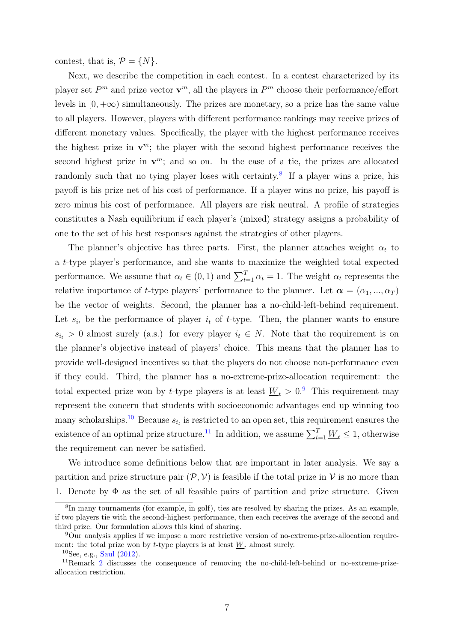contest, that is,  $\mathcal{P} = \{N\}.$ 

Next, we describe the competition in each contest. In a contest characterized by its player set  $P^m$  and prize vector  $\mathbf{v}^m$ , all the players in  $P^m$  choose their performance/effort levels in  $[0, +\infty)$  simultaneously. The prizes are monetary, so a prize has the same value to all players. However, players with different performance rankings may receive prizes of different monetary values. Specifically, the player with the highest performance receives the highest prize in  $\mathbf{v}^m$ ; the player with the second highest performance receives the second highest prize in  $\mathbf{v}^m$ ; and so on. In the case of a tie, the prizes are allocated randomly such that no tying player loses with certainty.<sup>[8](#page-6-0)</sup> If a player wins a prize, his payoff is his prize net of his cost of performance. If a player wins no prize, his payoff is zero minus his cost of performance. All players are risk neutral. A profile of strategies constitutes a Nash equilibrium if each player's (mixed) strategy assigns a probability of one to the set of his best responses against the strategies of other players.

The planner's objective has three parts. First, the planner attaches weight  $\alpha_t$  to a t-type player's performance, and she wants to maximize the weighted total expected performance. We assume that  $\alpha_t \in (0,1)$  and  $\sum_{t=1}^T \alpha_t = 1$ . The weight  $\alpha_t$  represents the relative importance of t-type players' performance to the planner. Let  $\alpha = (\alpha_1, ..., \alpha_T)$ be the vector of weights. Second, the planner has a no-child-left-behind requirement. Let  $s_{i_t}$  be the performance of player  $i_t$  of t-type. Then, the planner wants to ensure  $s_{i_t} > 0$  almost surely (a.s.) for every player  $i_t \in N$ . Note that the requirement is on the planner's objective instead of players' choice. This means that the planner has to provide well-designed incentives so that the players do not choose non-performance even if they could. Third, the planner has a no-extreme-prize-allocation requirement: the total expected prize won by t-type players is at least  $W_t > 0.9$  $W_t > 0.9$  This requirement may represent the concern that students with socioeconomic advantages end up winning too many scholarships.<sup>[10](#page-6-2)</sup> Because  $s_{i_t}$  is restricted to an open set, this requirement ensures the existence of an optimal prize structure.<sup>[11](#page-6-3)</sup> In addition, we assume  $\sum_{t=1}^{T} \underline{W}_t \leq 1$ , otherwise the requirement can never be satisfied.

We introduce some definitions below that are important in later analysis. We say a partition and prize structure pair  $(\mathcal{P}, \mathcal{V})$  is feasible if the total prize in V is no more than 1. Denote by  $\Phi$  as the set of all feasible pairs of partition and prize structure. Given

<span id="page-6-0"></span><sup>8</sup> In many tournaments (for example, in golf), ties are resolved by sharing the prizes. As an example, if two players tie with the second-highest performance, then each receives the average of the second and third prize. Our formulation allows this kind of sharing.

<span id="page-6-1"></span><sup>9</sup>Our analysis applies if we impose a more restrictive version of no-extreme-prize-allocation requirement: the total prize won by *t*-type players is at least  $\underline{W}_t$  almost surely.

<span id="page-6-3"></span><span id="page-6-2"></span> $10$ See, e.g., [Saul](#page-20-11)  $(2012)$ .

<sup>11</sup>Remark [2](#page-11-0) discusses the consequence of removing the no-child-left-behind or no-extreme-prizeallocation restriction.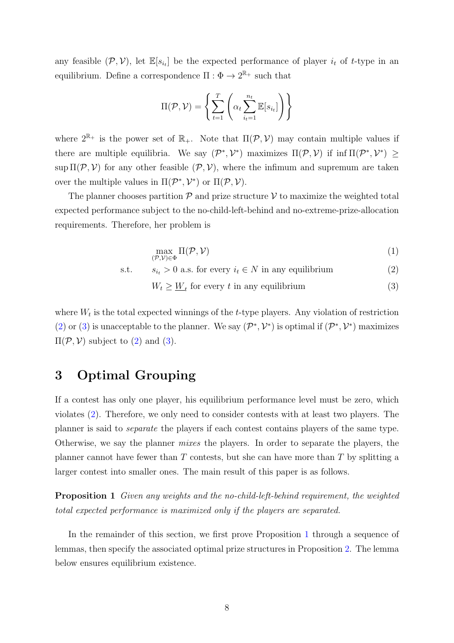any feasible  $(\mathcal{P}, \mathcal{V})$ , let  $\mathbb{E}[s_{i_t}]$  be the expected performance of player  $i_t$  of t-type in an equilibrium. Define a correspondence  $\Pi : \Phi \to 2^{\mathbb{R}_+}$  such that

$$
\Pi(\mathcal{P}, \mathcal{V}) = \left\{ \sum_{t=1}^{T} \left( \alpha_t \sum_{i_t=1}^{n_t} \mathbb{E}[s_{i_t}] \right) \right\}
$$

where  $2^{\mathbb{R}_+}$  is the power set of  $\mathbb{R}_+$ . Note that  $\Pi(\mathcal{P}, \mathcal{V})$  may contain multiple values if there are multiple equilibria. We say  $(\mathcal{P}^*, \mathcal{V}^*)$  maximizes  $\Pi(\mathcal{P}, \mathcal{V})$  if inf $\Pi(\mathcal{P}^*, \mathcal{V}^*) \geq$ sup  $\Pi(\mathcal{P}, \mathcal{V})$  for any other feasible  $(\mathcal{P}, \mathcal{V})$ , where the infimum and supremum are taken over the multiple values in  $\Pi(\mathcal{P}^*, \mathcal{V}^*)$  or  $\Pi(\mathcal{P}, \mathcal{V})$ .

The planner chooses partition  $P$  and prize structure  $V$  to maximize the weighted total expected performance subject to the no-child-left-behind and no-extreme-prize-allocation requirements. Therefore, her problem is

<span id="page-7-1"></span>
$$
\max_{(\mathcal{P}, \mathcal{V}) \in \Phi} \Pi(\mathcal{P}, \mathcal{V}) \tag{1}
$$

s.t. 
$$
s_{i_t} > 0
$$
 a.s. for every  $i_t \in N$  in any equilibrium 
$$
(2)
$$

$$
W_t \ge \underline{W}_t \text{ for every } t \text{ in any equilibrium} \tag{3}
$$

where  $W_t$  is the total expected winnings of the t-type players. Any violation of restriction [\(2\)](#page-7-1) or [\(3\)](#page-7-1) is unacceptable to the planner. We say  $(\mathcal{P}^*, \mathcal{V}^*)$  is optimal if  $(\mathcal{P}^*, \mathcal{V}^*)$  maximizes  $\Pi(\mathcal{P}, \mathcal{V})$  subject to [\(2\)](#page-7-1) and [\(3\)](#page-7-1).

# <span id="page-7-0"></span>3 Optimal Grouping

If a contest has only one player, his equilibrium performance level must be zero, which violates [\(2\)](#page-7-1). Therefore, we only need to consider contests with at least two players. The planner is said to separate the players if each contest contains players of the same type. Otherwise, we say the planner mixes the players. In order to separate the players, the planner cannot have fewer than  $T$  contests, but she can have more than  $T$  by splitting a larger contest into smaller ones. The main result of this paper is as follows.

<span id="page-7-2"></span>**Proposition 1** Given any weights and the no-child-left-behind requirement, the weighted total expected performance is maximized only if the players are separated.

<span id="page-7-3"></span>In the remainder of this section, we first prove Proposition [1](#page-7-2) through a sequence of lemmas, then specify the associated optimal prize structures in Proposition [2.](#page-12-0) The lemma below ensures equilibrium existence.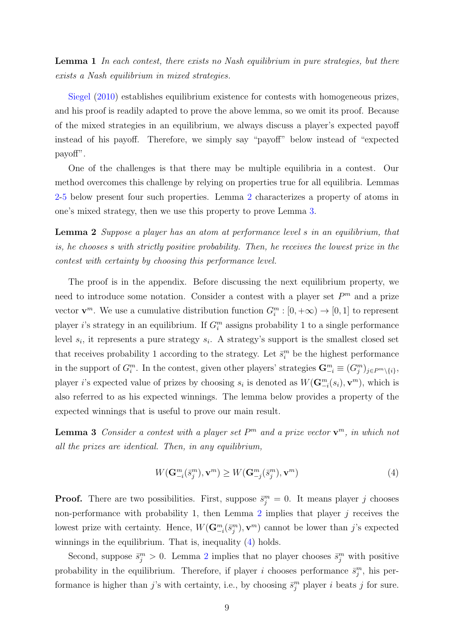**Lemma 1** In each contest, there exists no Nash equilibrium in pure strategies, but there exists a Nash equilibrium in mixed strategies.

[Siegel](#page-21-1) [\(2010\)](#page-21-1) establishes equilibrium existence for contests with homogeneous prizes, and his proof is readily adapted to prove the above lemma, so we omit its proof. Because of the mixed strategies in an equilibrium, we always discuss a player's expected payoff instead of his payoff. Therefore, we simply say "payoff" below instead of "expected payoff".

One of the challenges is that there may be multiple equilibria in a contest. Our method overcomes this challenge by relying on properties true for all equilibria. Lemmas [2-](#page-8-0)[5](#page-9-0) below present four such properties. Lemma [2](#page-8-0) characterizes a property of atoms in one's mixed strategy, then we use this property to prove Lemma [3.](#page-8-1)

<span id="page-8-0"></span>Lemma 2 Suppose a player has an atom at performance level s in an equilibrium, that is, he chooses s with strictly positive probability. Then, he receives the lowest prize in the contest with certainty by choosing this performance level.

The proof is in the appendix. Before discussing the next equilibrium property, we need to introduce some notation. Consider a contest with a player set  $P<sup>m</sup>$  and a prize vector  $\mathbf{v}^m$ . We use a cumulative distribution function  $G_i^m : [0, +\infty) \to [0, 1]$  to represent player *i*'s strategy in an equilibrium. If  $G_i^m$  assigns probability 1 to a single performance level  $s_i$ , it represents a pure strategy  $s_i$ . A strategy's support is the smallest closed set that receives probability 1 according to the strategy. Let  $\bar{s}_i^m$  be the highest performance in the support of  $G_i^m$ . In the contest, given other players' strategies  $\mathbf{G}_{-i}^m \equiv (G_j^m)_{j \in P^m \setminus \{i\}},$ player *i*'s expected value of prizes by choosing  $s_i$  is denoted as  $W(\mathbf{G}_{-i}^m(s_i), \mathbf{v}^m)$ , which is also referred to as his expected winnings. The lemma below provides a property of the expected winnings that is useful to prove our main result.

<span id="page-8-1"></span>**Lemma 3** Consider a contest with a player set  $P^m$  and a prize vector  $\mathbf{v}^m$ , in which not all the prizes are identical. Then, in any equilibrium,

<span id="page-8-2"></span>
$$
W(\mathbf{G}_{-i}^{m}(\bar{s}_{j}^{m}), \mathbf{v}^{m}) \ge W(\mathbf{G}_{-j}^{m}(\bar{s}_{j}^{m}), \mathbf{v}^{m})
$$
\n
$$
\tag{4}
$$

**Proof.** There are two possibilities. First, suppose  $\bar{s}_j^m = 0$ . It means player j chooses non-performance with probability 1, then Lemma [2](#page-8-0) implies that player  $j$  receives the lowest prize with certainty. Hence,  $W(\mathbf{G}_{-i}^m(\bar{s}_j^m), \mathbf{v}^m)$  cannot be lower than j's expected winnings in the equilibrium. That is, inequality [\(4\)](#page-8-2) holds.

Second, suppose  $\bar{s}_j^m > 0$ . Lemma [2](#page-8-0) implies that no player chooses  $\bar{s}_j^m$  with positive probability in the equilibrium. Therefore, if player i chooses performance  $\bar{s}_j^m$ , his performance is higher than j's with certainty, i.e., by choosing  $\bar{s}_j^m$  player i beats j for sure.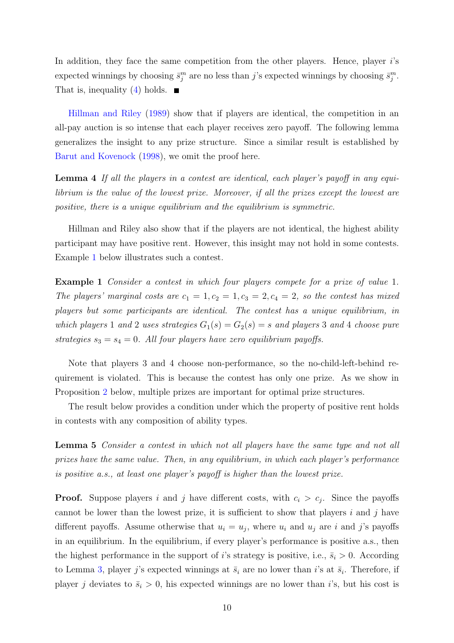In addition, they face the same competition from the other players. Hence, player is expected winnings by choosing  $\bar{s}_j^m$  are no less than j's expected winnings by choosing  $\bar{s}_j^m$ . That is, inequality [\(4\)](#page-8-2) holds.  $\blacksquare$ 

[Hillman and Riley](#page-20-2) [\(1989\)](#page-20-2) show that if players are identical, the competition in an all-pay auction is so intense that each player receives zero payoff. The following lemma generalizes the insight to any prize structure. Since a similar result is established by [Barut and Kovenock](#page-19-8) [\(1998\)](#page-19-8), we omit the proof here.

<span id="page-9-2"></span>Lemma 4 If all the players in a contest are identical, each player's payoff in any equilibrium is the value of the lowest prize. Moreover, if all the prizes except the lowest are positive, there is a unique equilibrium and the equilibrium is symmetric.

Hillman and Riley also show that if the players are not identical, the highest ability participant may have positive rent. However, this insight may not hold in some contests. Example [1](#page-9-1) below illustrates such a contest.

<span id="page-9-1"></span>Example 1 Consider a contest in which four players compete for a prize of value 1. The players' marginal costs are  $c_1 = 1, c_2 = 1, c_3 = 2, c_4 = 2$ , so the contest has mixed players but some participants are identical. The contest has a unique equilibrium, in which players 1 and 2 uses strategies  $G_1(s) = G_2(s) = s$  and players 3 and 4 choose pure strategies  $s_3 = s_4 = 0$ . All four players have zero equilibrium payoffs.

Note that players 3 and 4 choose non-performance, so the no-child-left-behind requirement is violated. This is because the contest has only one prize. As we show in Proposition [2](#page-12-0) below, multiple prizes are important for optimal prize structures.

The result below provides a condition under which the property of positive rent holds in contests with any composition of ability types.

<span id="page-9-0"></span>Lemma 5 Consider a contest in which not all players have the same type and not all prizes have the same value. Then, in any equilibrium, in which each player's performance is positive a.s., at least one player's payoff is higher than the lowest prize.

**Proof.** Suppose players i and j have different costs, with  $c_i > c_j$ . Since the payoffs cannot be lower than the lowest prize, it is sufficient to show that players  $i$  and  $j$  have different payoffs. Assume otherwise that  $u_i = u_j$ , where  $u_i$  and  $u_j$  are i and j's payoffs in an equilibrium. In the equilibrium, if every player's performance is positive a.s., then the highest performance in the support of i's strategy is positive, i.e.,  $\bar{s}_i > 0$ . According to Lemma [3,](#page-8-1) player j's expected winnings at  $\bar{s}_i$  are no lower than i's at  $\bar{s}_i$ . Therefore, if player j deviates to  $\bar{s}_i > 0$ , his expected winnings are no lower than i's, but his cost is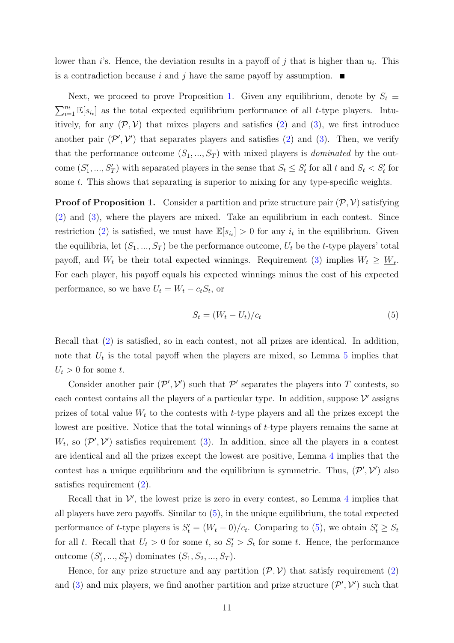lower than i's. Hence, the deviation results in a payoff of j that is higher than  $u_i$ . This is a contradiction because i and j have the same payoff by assumption.  $\blacksquare$ 

Next, we proceed to prove Proposition [1.](#page-7-2) Given any equilibrium, denote by  $S_t \equiv$  $\sum_{i=1}^{n_t} \mathbb{E}[s_{i_t}]$  as the total expected equilibrium performance of all *t*-type players. Intuitively, for any  $(\mathcal{P}, \mathcal{V})$  that mixes players and satisfies [\(2\)](#page-7-1) and [\(3\)](#page-7-1), we first introduce another pair  $(\mathcal{P}', \mathcal{V}')$  that separates players and satisfies  $(2)$  and  $(3)$ . Then, we verify that the performance outcome  $(S_1, ..., S_T)$  with mixed players is *dominated* by the outcome  $(S'_1, ..., S'_T)$  with separated players in the sense that  $S_t \leq S'_t$  for all t and  $S_t < S'_t$  for some t. This shows that separating is superior to mixing for any type-specific weights.

**Proof of Proposition 1.** Consider a partition and prize structure pair  $(\mathcal{P}, \mathcal{V})$  satisfying [\(2\)](#page-7-1) and [\(3\)](#page-7-1), where the players are mixed. Take an equilibrium in each contest. Since restriction [\(2\)](#page-7-1) is satisfied, we must have  $\mathbb{E}[s_{i_t}] > 0$  for any  $i_t$  in the equilibrium. Given the equilibria, let  $(S_1, ..., S_T)$  be the performance outcome,  $U_t$  be the t-type players' total payoff, and  $W_t$  be their total expected winnings. Requirement [\(3\)](#page-7-1) implies  $W_t \geq \underline{W}_t$ . For each player, his payoff equals his expected winnings minus the cost of his expected performance, so we have  $U_t = W_t - c_t S_t$ , or

<span id="page-10-0"></span>
$$
S_t = (W_t - U_t)/c_t \tag{5}
$$

Recall that [\(2\)](#page-7-1) is satisfied, so in each contest, not all prizes are identical. In addition, note that  $U_t$  is the total payoff when the players are mixed, so Lemma [5](#page-9-0) implies that  $U_t > 0$  for some t.

Consider another pair  $(\mathcal{P}', \mathcal{V}')$  such that  $\mathcal{P}'$  separates the players into T contests, so each contest contains all the players of a particular type. In addition, suppose  $\mathcal V'$  assigns prizes of total value  $W_t$  to the contests with t-type players and all the prizes except the lowest are positive. Notice that the total winnings of t-type players remains the same at  $W_t$ , so  $(\mathcal{P}', \mathcal{V}')$  satisfies requirement [\(3\)](#page-7-1). In addition, since all the players in a contest are identical and all the prizes except the lowest are positive, Lemma [4](#page-9-2) implies that the contest has a unique equilibrium and the equilibrium is symmetric. Thus,  $(\mathcal{P}', \mathcal{V}')$  also satisfies requirement [\(2\)](#page-7-1).

Recall that in  $\mathcal V'$ , the lowest prize is zero in every contest, so Lemma [4](#page-9-2) implies that all players have zero payoffs. Similar to [\(5\)](#page-10-0), in the unique equilibrium, the total expected performance of t-type players is  $S'_t = (W_t - 0)/c_t$ . Comparing to [\(5\)](#page-10-0), we obtain  $S'_t \geq S_t$ for all t. Recall that  $U_t > 0$  for some t, so  $S'_t > S_t$  for some t. Hence, the performance outcome  $(S'_1, ..., S'_T)$  dominates  $(S_1, S_2, ..., S_T)$ .

Hence, for any prize structure and any partition  $(\mathcal{P}, \mathcal{V})$  that satisfy requirement [\(2\)](#page-7-1) and [\(3\)](#page-7-1) and mix players, we find another partition and prize structure  $(\mathcal{P}', \mathcal{V}')$  such that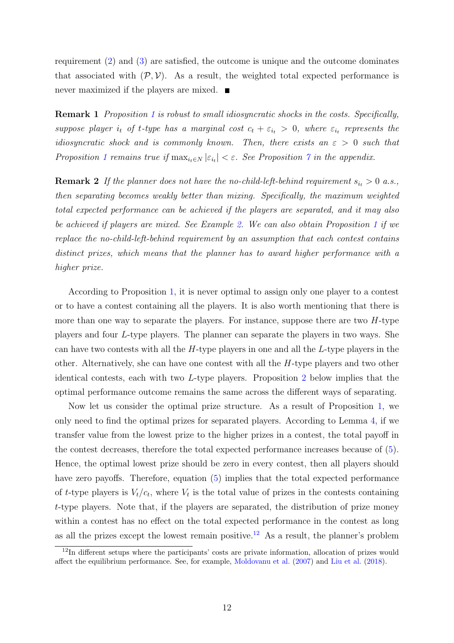requirement [\(2\)](#page-7-1) and [\(3\)](#page-7-1) are satisfied, the outcome is unique and the outcome dominates that associated with  $(\mathcal{P}, \mathcal{V})$ . As a result, the weighted total expected performance is never maximized if the players are mixed.  $\blacksquare$ 

Remark 1 Proposition [1](#page-7-2) is robust to small idiosyncratic shocks in the costs. Specifically, suppose player  $i_t$  of t-type has a marginal cost  $c_t + \varepsilon_{i_t} > 0$ , where  $\varepsilon_{i_t}$  represents the idiosyncratic shock and is commonly known. Then, there exists an  $\varepsilon > 0$  such that Proposition [1](#page-7-2) remains true if  $\max_{i \in N} |\varepsilon_{i}| < \varepsilon$ . See Proposition [7](#page-25-0) in the appendix.

<span id="page-11-0"></span>**Remark 2** If the planner does not have the no-child-left-behind requirement  $s_{i_t} > 0$  a.s., then separating becomes weakly better than mixing. Specifically, the maximum weighted total expected performance can be achieved if the players are separated, and it may also be achieved if players are mixed. See Example [2.](#page-12-1) We can also obtain Proposition [1](#page-7-2) if we replace the no-child-left-behind requirement by an assumption that each contest contains distinct prizes, which means that the planner has to award higher performance with a higher prize.

According to Proposition [1,](#page-7-2) it is never optimal to assign only one player to a contest or to have a contest containing all the players. It is also worth mentioning that there is more than one way to separate the players. For instance, suppose there are two  $H$ -type players and four L-type players. The planner can separate the players in two ways. She can have two contests with all the  $H$ -type players in one and all the  $L$ -type players in the other. Alternatively, she can have one contest with all the H-type players and two other identical contests, each with two L-type players. Proposition [2](#page-12-0) below implies that the optimal performance outcome remains the same across the different ways of separating.

Now let us consider the optimal prize structure. As a result of Proposition [1,](#page-7-2) we only need to find the optimal prizes for separated players. According to Lemma [4,](#page-9-2) if we transfer value from the lowest prize to the higher prizes in a contest, the total payoff in the contest decreases, therefore the total expected performance increases because of [\(5\)](#page-10-0). Hence, the optimal lowest prize should be zero in every contest, then all players should have zero payoffs. Therefore, equation [\(5\)](#page-10-0) implies that the total expected performance of t-type players is  $V_t/c_t$ , where  $V_t$  is the total value of prizes in the contests containing t-type players. Note that, if the players are separated, the distribution of prize money within a contest has no effect on the total expected performance in the contest as long as all the prizes except the lowest remain positive.<sup>[12](#page-11-1)</sup> As a result, the planner's problem

<span id="page-11-1"></span><sup>&</sup>lt;sup>12</sup>In different setups where the participants' costs are private information, allocation of prizes would affect the equilibrium performance. See, for example, [Moldovanu et al.](#page-20-10) [\(2007\)](#page-20-10) and [Liu et al.](#page-20-12) [\(2018\)](#page-20-12).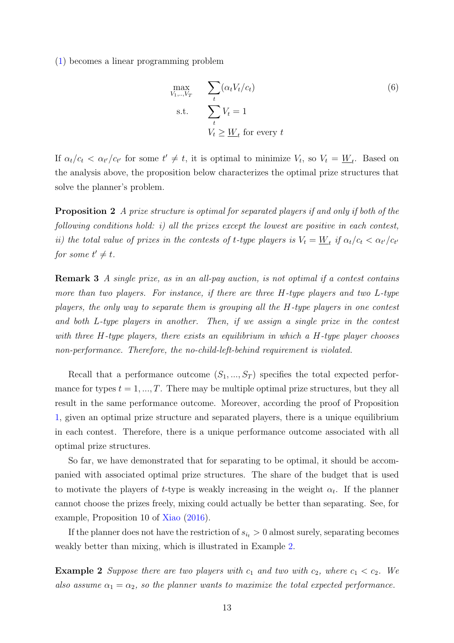[\(1\)](#page-7-1) becomes a linear programming problem

<span id="page-12-2"></span>
$$
\max_{V_1,\dots,V_T} \sum_{t} (\alpha_t V_t/c_t)
$$
\n
$$
\text{s.t.} \sum_{t} V_t = 1
$$
\n
$$
V_t \ge \underline{W}_t \text{ for every } t
$$
\n(6)

If  $\alpha_t/c_t < \alpha_{t'}/c_{t'}$  for some  $t' \neq t$ , it is optimal to minimize  $V_t$ , so  $V_t = \underline{W}_t$ . Based on the analysis above, the proposition below characterizes the optimal prize structures that solve the planner's problem.

<span id="page-12-0"></span>Proposition 2 A prize structure is optimal for separated players if and only if both of the following conditions hold: i) all the prizes except the lowest are positive in each contest, ii) the total value of prizes in the contests of t-type players is  $V_t = \underline{W}_t$  if  $\alpha_t/c_t < \alpha_{t}/c_{t'}$ for some  $t' \neq t$ .

Remark 3 A single prize, as in an all-pay auction, is not optimal if a contest contains more than two players. For instance, if there are three H-type players and two L-type players, the only way to separate them is grouping all the H-type players in one contest and both L-type players in another. Then, if we assign a single prize in the contest with three H-type players, there exists an equilibrium in which a H-type player chooses non-performance. Therefore, the no-child-left-behind requirement is violated.

Recall that a performance outcome  $(S_1, ..., S_T)$  specifies the total expected performance for types  $t = 1, ..., T$ . There may be multiple optimal prize structures, but they all result in the same performance outcome. Moreover, according the proof of Proposition [1,](#page-7-2) given an optimal prize structure and separated players, there is a unique equilibrium in each contest. Therefore, there is a unique performance outcome associated with all optimal prize structures.

So far, we have demonstrated that for separating to be optimal, it should be accompanied with associated optimal prize structures. The share of the budget that is used to motivate the players of t-type is weakly increasing in the weight  $\alpha_t$ . If the planner cannot choose the prizes freely, mixing could actually be better than separating. See, for example, Proposition 10 of [Xiao](#page-21-2) [\(2016\)](#page-21-2).

If the planner does not have the restriction of  $s_{i_t} > 0$  almost surely, separating becomes weakly better than mixing, which is illustrated in Example [2.](#page-12-1)

<span id="page-12-1"></span>**Example 2** Suppose there are two players with  $c_1$  and two with  $c_2$ , where  $c_1 < c_2$ . We also assume  $\alpha_1 = \alpha_2$ , so the planner wants to maximize the total expected performance.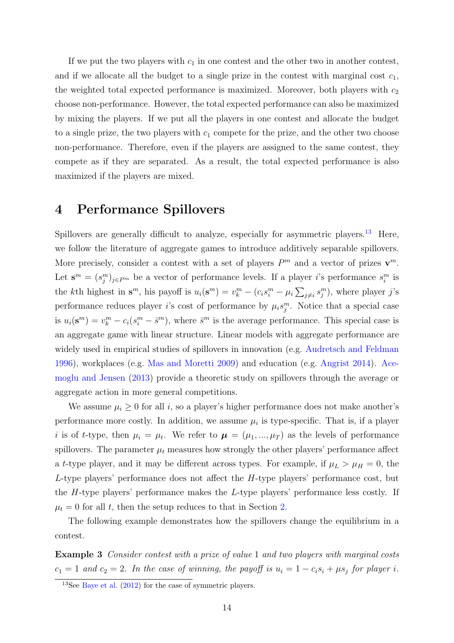If we put the two players with  $c_1$  in one contest and the other two in another contest, and if we allocate all the budget to a single prize in the contest with marginal cost  $c_1$ , the weighted total expected performance is maximized. Moreover, both players with  $c_2$ choose non-performance. However, the total expected performance can also be maximized by mixing the players. If we put all the players in one contest and allocate the budget to a single prize, the two players with  $c_1$  compete for the prize, and the other two choose non-performance. Therefore, even if the players are assigned to the same contest, they compete as if they are separated. As a result, the total expected performance is also maximized if the players are mixed.

### <span id="page-13-0"></span>4 Performance Spillovers

Spillovers are generally difficult to analyze, especially for asymmetric players.<sup>[13](#page-13-1)</sup> Here, we follow the literature of aggregate games to introduce additively separable spillovers. More precisely, consider a contest with a set of players  $P^m$  and a vector of prizes  $\mathbf{v}^m$ . Let  $\mathbf{s}^m = (s_j^m)_{j \in P^m}$  be a vector of performance levels. If a player *i*'s performance  $s_i^m$  is the kth highest in  $\mathbf{s}^m$ , his payoff is  $u_i(\mathbf{s}^m) = v_k^m - (c_i s_i^m - \mu_i \sum_{j \neq i} s_j^m)$ , where player j's performance reduces player *i*'s cost of performance by  $\mu_i s_j^m$ . Notice that a special case is  $u_i(\mathbf{s}^m) = v_k^m - c_i(s_i^m - \bar{s}^m)$ , where  $\bar{s}^m$  is the average performance. This special case is an aggregate game with linear structure. Linear models with aggregate performance are widely used in empirical studies of spillovers in innovation (e.g. [Audretsch and Feldman](#page-19-9) [1996\)](#page-19-9), workplaces (e.g. [Mas and Moretti](#page-20-13) [2009\)](#page-20-13) and education (e.g. [Angrist](#page-19-10) [2014\)](#page-19-10). [Ace](#page-19-11)[moglu and Jensen](#page-19-11) [\(2013\)](#page-19-11) provide a theoretic study on spillovers through the average or aggregate action in more general competitions.

We assume  $\mu_i \geq 0$  for all i, so a player's higher performance does not make another's performance more costly. In addition, we assume  $\mu_i$  is type-specific. That is, if a player i is of t-type, then  $\mu_i = \mu_t$ . We refer to  $\mu = (\mu_1, ..., \mu_T)$  as the levels of performance spillovers. The parameter  $\mu_t$  measures how strongly the other players' performance affect a t-type player, and it may be different across types. For example, if  $\mu_L > \mu_H = 0$ , the  $L$ -type players' performance does not affect the  $H$ -type players' performance cost, but the  $H$ -type players' performance makes the  $L$ -type players' performance less costly. If  $\mu_t = 0$  for all t, then the setup reduces to that in Section [2.](#page-5-0)

<span id="page-13-2"></span>The following example demonstrates how the spillovers change the equilibrium in a contest.

Example 3 Consider contest with a prize of value 1 and two players with marginal costs  $c_1 = 1$  and  $c_2 = 2$ . In the case of winning, the payoff is  $u_i = 1 - c_i s_i + \mu s_j$  for player i.

<span id="page-13-1"></span><sup>&</sup>lt;sup>13</sup>See [Baye et al.](#page-19-12)  $(2012)$  for the case of symmetric players.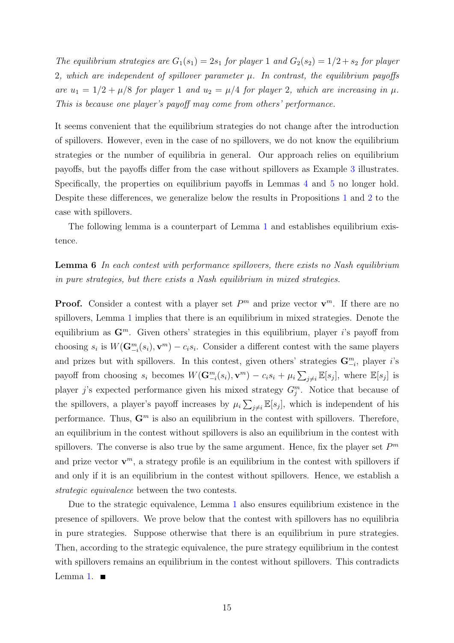The equilibrium strategies are  $G_1(s_1) = 2s_1$  for player 1 and  $G_2(s_2) = 1/2 + s_2$  for player 2, which are independent of spillover parameter  $\mu$ . In contrast, the equilibrium payoffs are  $u_1 = 1/2 + \mu/8$  for player 1 and  $u_2 = \mu/4$  for player 2, which are increasing in  $\mu$ . This is because one player's payoff may come from others' performance.

It seems convenient that the equilibrium strategies do not change after the introduction of spillovers. However, even in the case of no spillovers, we do not know the equilibrium strategies or the number of equilibria in general. Our approach relies on equilibrium payoffs, but the payoffs differ from the case without spillovers as Example [3](#page-13-2) illustrates. Specifically, the properties on equilibrium payoffs in Lemmas [4](#page-9-2) and [5](#page-9-0) no longer hold. Despite these differences, we generalize below the results in Propositions [1](#page-7-2) and [2](#page-12-0) to the case with spillovers.

The following lemma is a counterpart of Lemma [1](#page-7-3) and establishes equilibrium existence.

### Lemma 6 In each contest with performance spillovers, there exists no Nash equilibrium in pure strategies, but there exists a Nash equilibrium in mixed strategies.

**Proof.** Consider a contest with a player set  $P^m$  and prize vector  $\mathbf{v}^m$ . If there are no spillovers, Lemma [1](#page-7-3) implies that there is an equilibrium in mixed strategies. Denote the equilibrium as  $\mathbb{G}^m$ . Given others' strategies in this equilibrium, player i's payoff from choosing  $s_i$  is  $W(\mathbf{G}_{-i}^m(s_i), \mathbf{v}^m) - c_i s_i$ . Consider a different contest with the same players and prizes but with spillovers. In this contest, given others' strategies  $\mathbf{G}^m_{-i}$ , player i's payoff from choosing  $s_i$  becomes  $W(\mathbf{G}_{-i}^m(s_i), \mathbf{v}^m) - c_i s_i + \mu_i \sum_{j \neq i} \mathbb{E}[s_j]$ , where  $\mathbb{E}[s_j]$  is player j's expected performance given his mixed strategy  $G_j^m$ . Notice that because of the spillovers, a player's payoff increases by  $\mu_i \sum_{j \neq i} \mathbb{E}[s_j]$ , which is independent of his performance. Thus,  $G<sup>m</sup>$  is also an equilibrium in the contest with spillovers. Therefore, an equilibrium in the contest without spillovers is also an equilibrium in the contest with spillovers. The converse is also true by the same argument. Hence, fix the player set  $P<sup>m</sup>$ and prize vector  $\mathbf{v}^m$ , a strategy profile is an equilibrium in the contest with spillovers if and only if it is an equilibrium in the contest without spillovers. Hence, we establish a strategic equivalence between the two contests.

Due to the strategic equivalence, Lemma [1](#page-7-3) also ensures equilibrium existence in the presence of spillovers. We prove below that the contest with spillovers has no equilibria in pure strategies. Suppose otherwise that there is an equilibrium in pure strategies. Then, according to the strategic equivalence, the pure strategy equilibrium in the contest with spillovers remains an equilibrium in the contest without spillovers. This contradicts Lemma [1.](#page-7-3)  $\blacksquare$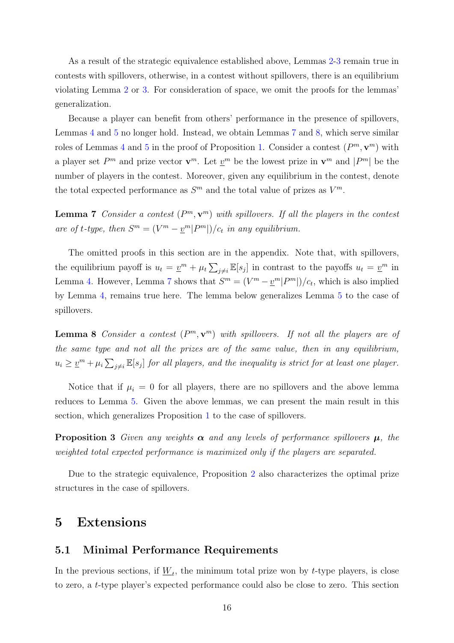As a result of the strategic equivalence established above, Lemmas [2-](#page-8-0)[3](#page-8-1) remain true in contests with spillovers, otherwise, in a contest without spillovers, there is an equilibrium violating Lemma [2](#page-8-0) or [3.](#page-8-1) For consideration of space, we omit the proofs for the lemmas' generalization.

Because a player can benefit from others' performance in the presence of spillovers, Lemmas [4](#page-9-2) and [5](#page-9-0) no longer hold. Instead, we obtain Lemmas [7](#page-15-1) and [8,](#page-15-2) which serve similar roles of Lemmas [4](#page-9-2) and [5](#page-9-0) in the proof of Proposition [1.](#page-7-2) Consider a contest  $(P^m, \mathbf{v}^m)$  with a player set  $P^m$  and prize vector  $\mathbf{v}^m$ . Let  $\underline{v}^m$  be the lowest prize in  $\mathbf{v}^m$  and  $|P^m|$  be the number of players in the contest. Moreover, given any equilibrium in the contest, denote the total expected performance as  $S<sup>m</sup>$  and the total value of prizes as  $V<sup>m</sup>$ .

<span id="page-15-1"></span>**Lemma 7** Consider a contest  $(P^m, \mathbf{v}^m)$  with spillovers. If all the players in the contest are of t-type, then  $S^m = (V^m - \underline{v}^m | P^m|)/c_t$  in any equilibrium.

The omitted proofs in this section are in the appendix. Note that, with spillovers, the equilibrium payoff is  $u_t = \underline{v}^m + \mu_t \sum_{j \neq i} \mathbb{E}[s_j]$  in contrast to the payoffs  $u_t = \underline{v}^m$  in Lemma [4.](#page-9-2) However, Lemma [7](#page-15-1) shows that  $S^m = (V^m - \underline{v}^m | P^m|)/c_t$ , which is also implied by Lemma [4,](#page-9-2) remains true here. The lemma below generalizes Lemma [5](#page-9-0) to the case of spillovers.

<span id="page-15-2"></span>**Lemma 8** Consider a contest  $(P^m, \mathbf{v}^m)$  with spillovers. If not all the players are of the same type and not all the prizes are of the same value, then in any equilibrium,  $u_i \geq \underline{v}^m + \mu_i \sum_{j \neq i} \mathbb{E}[s_j]$  for all players, and the inequality is strict for at least one player.

<span id="page-15-3"></span>Notice that if  $\mu_i = 0$  for all players, there are no spillovers and the above lemma reduces to Lemma [5.](#page-9-0) Given the above lemmas, we can present the main result in this section, which generalizes Proposition [1](#page-7-2) to the case of spillovers.

**Proposition 3** Given any weights  $\alpha$  and any levels of performance spillovers  $\mu$ , the weighted total expected performance is maximized only if the players are separated.

Due to the strategic equivalence, Proposition [2](#page-12-0) also characterizes the optimal prize structures in the case of spillovers.

### <span id="page-15-0"></span>5 Extensions

#### 5.1 Minimal Performance Requirements

In the previous sections, if  $\underline{W}_t$ , the minimum total prize won by t-type players, is close to zero, a t-type player's expected performance could also be close to zero. This section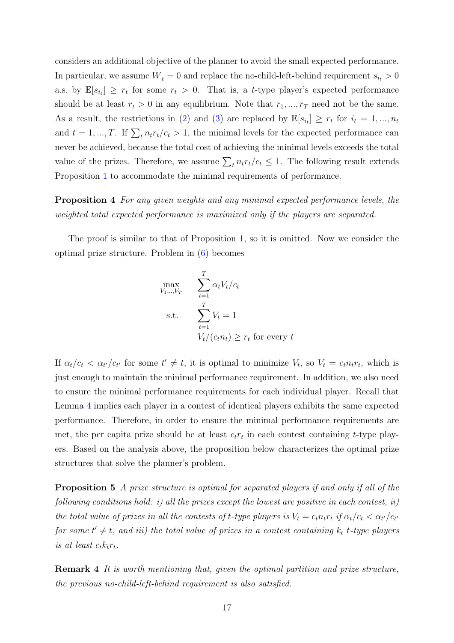considers an additional objective of the planner to avoid the small expected performance. In particular, we assume  $\underline{W}_t = 0$  and replace the no-child-left-behind requirement  $s_{i_t} > 0$ a.s. by  $\mathbb{E}[s_{i_t}] \geq r_t$  for some  $r_t > 0$ . That is, a *t*-type player's expected performance should be at least  $r_t > 0$  in any equilibrium. Note that  $r_1, ..., r_T$  need not be the same. As a result, the restrictions in [\(2\)](#page-7-1) and [\(3\)](#page-7-1) are replaced by  $\mathbb{E}[s_{i_t}] \geq r_t$  for  $i_t = 1, ..., n_t$ and  $t = 1, ..., T$ . If  $\sum_t n_t r_t / c_t > 1$ , the minimal levels for the expected performance can never be achieved, because the total cost of achieving the minimal levels exceeds the total value of the prizes. Therefore, we assume  $\sum_t n_t r_t/c_t \leq 1$ . The following result extends Proposition [1](#page-7-2) to accommodate the minimal requirements of performance.

Proposition 4 For any given weights and any minimal expected performance levels, the weighted total expected performance is maximized only if the players are separated.

The proof is similar to that of Proposition [1,](#page-7-2) so it is omitted. Now we consider the optimal prize structure. Problem in [\(6\)](#page-12-2) becomes

$$
\begin{aligned}\n\max_{V_1, \dots, V_T} & \sum_{t=1}^T \alpha_t V_t / c_t \\
\text{s.t.} & \sum_{t=1}^T V_t = 1 \\
& V_t / (c_t n_t) \ge r_t \text{ for every } t\n\end{aligned}
$$

If  $\alpha_t/c_t < \alpha_{t'}/c_{t'}$  for some  $t' \neq t$ , it is optimal to minimize  $V_t$ , so  $V_t = c_t n_t r_t$ , which is just enough to maintain the minimal performance requirement. In addition, we also need to ensure the minimal performance requirements for each individual player. Recall that Lemma [4](#page-9-2) implies each player in a contest of identical players exhibits the same expected performance. Therefore, in order to ensure the minimal performance requirements are met, the per capita prize should be at least  $c_t r_t$  in each contest containing t-type players. Based on the analysis above, the proposition below characterizes the optimal prize structures that solve the planner's problem.

Proposition 5 A prize structure is optimal for separated players if and only if all of the following conditions hold: i) all the prizes except the lowest are positive in each contest, ii) the total value of prizes in all the contests of t-type players is  $V_t = c_t n_t r_t$  if  $\alpha_t/c_t < \alpha_{t}/c_{t'}$ for some  $t' \neq t$ , and iii) the total value of prizes in a contest containing  $k_t$  t-type players is at least  $c_t k_t r_t$ .

Remark 4 It is worth mentioning that, given the optimal partition and prize structure, the previous no-child-left-behind requirement is also satisfied.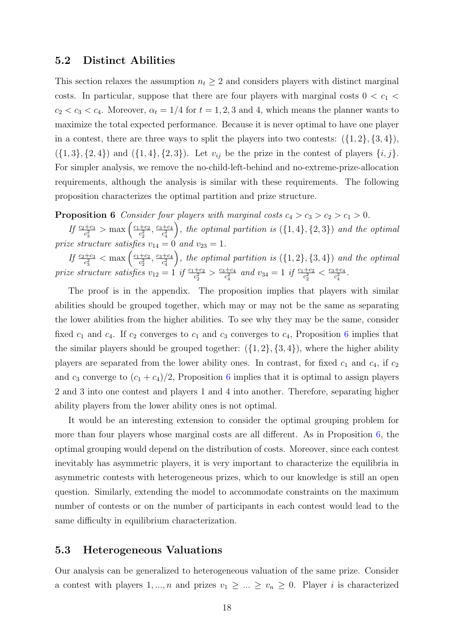#### <span id="page-17-0"></span>5.2 Distinct Abilities

This section relaxes the assumption  $n_t \geq 2$  and considers players with distinct marginal costs. In particular, suppose that there are four players with marginal costs  $0 < c_1 <$  $c_2 < c_3 < c_4$ . Moreover,  $\alpha_t = 1/4$  for  $t = 1, 2, 3$  and 4, which means the planner wants to maximize the total expected performance. Because it is never optimal to have one player in a contest, there are three ways to split the players into two contests:  $({1, 2}, {3, 4})$ ,  $({1, 3}, {2, 4})$  and  $({1, 4}, {2, 3})$ . Let  $v_{ij}$  be the prize in the contest of players  ${i, j}$ . For simpler analysis, we remove the no-child-left-behind and no-extreme-prize-allocation requirements, although the analysis is similar with these requirements. The following proposition characterizes the optimal partition and prize structure.

<span id="page-17-1"></span>**Proposition 6** Consider four players with marginal costs  $c_4 > c_3 > c_2 > c_1 > 0$ .

If  $\frac{c_2+c_3}{c_3^2} > \max\left(\frac{c_1+c_2}{c_2^2}\right)$  $\frac{+c_2}{c_2^2}, \frac{c_3+c_4}{c_4^2}$  $c_4^2$ ), the optimal partition is  $({1, 4}, {2, 3})$  and the optimal prize structure satisfies  $v_{14} = 0$  and  $v_{23} = 1$ .

If  $\frac{c_2+c_3}{c_3^2} < \max\left(\frac{c_1+c_2}{c_2^2}\right)$  $\frac{+c_2}{c_2^2}, \frac{c_3+c_4}{c_4^2}$  $c_4^2$ ), the optimal partition is  $({1, 2}, {3, 4})$  and the optimal prize structure satisfies  $v_{12} = 1$  if  $\frac{c_1+c_2}{c_2^2} > \frac{c_3+c_4}{c_4^2}$  $\frac{c_1+c_4}{c_4^2}$  and  $v_{34}=1$  if  $\frac{c_1+c_2}{c_2^2} < \frac{c_3+c_4}{c_4^2}$  $\frac{c_4^2}{c_4^2}$  .

The proof is in the appendix. The proposition implies that players with similar abilities should be grouped together, which may or may not be the same as separating the lower abilities from the higher abilities. To see why they may be the same, consider fixed  $c_1$  and  $c_4$ . If  $c_2$  converges to  $c_1$  and  $c_3$  converges to  $c_4$ , Proposition [6](#page-17-1) implies that the similar players should be grouped together:  $({1, 2}, {3, 4})$ , where the higher ability players are separated from the lower ability ones. In contrast, for fixed  $c_1$  and  $c_4$ , if  $c_2$ and  $c_3$  converge to  $(c_1 + c_4)/2$ , Proposition [6](#page-17-1) implies that it is optimal to assign players 2 and 3 into one contest and players 1 and 4 into another. Therefore, separating higher ability players from the lower ability ones is not optimal.

It would be an interesting extension to consider the optimal grouping problem for more than four players whose marginal costs are all different. As in Proposition [6,](#page-17-1) the optimal grouping would depend on the distribution of costs. Moreover, since each contest inevitably has asymmetric players, it is very important to characterize the equilibria in asymmetric contests with heterogeneous prizes, which to our knowledge is still an open question. Similarly, extending the model to accommodate constraints on the maximum number of contests or on the number of participants in each contest would lead to the same difficulty in equilibrium characterization.

#### 5.3 Heterogeneous Valuations

Our analysis can be generalized to heterogeneous valuation of the same prize. Consider a contest with players  $1, ..., n$  and prizes  $v_1 \geq ... \geq v_n \geq 0$ . Player i is characterized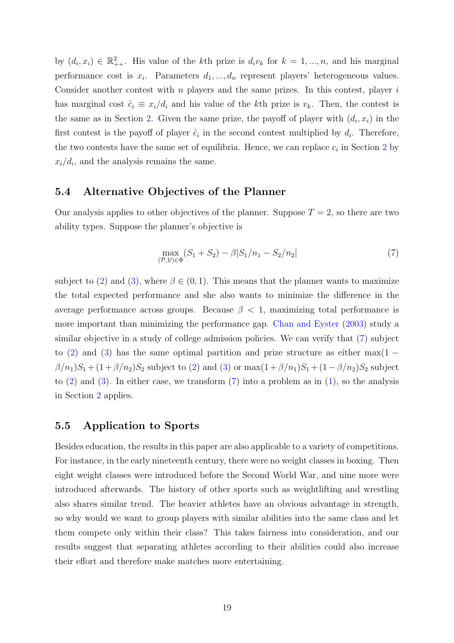by  $(d_i, x_i) \in \mathbb{R}^2_{++}$ . His value of the kth prize is  $d_i v_k$  for  $k = 1, ..., n$ , and his marginal performance cost is  $x_i$ . Parameters  $d_1, ..., d_n$  represent players' heterogeneous values. Consider another contest with  $n$  players and the same prizes. In this contest, player  $i$ has marginal cost  $\hat{c}_i \equiv x_i/d_i$  and his value of the kth prize is  $v_k$ . Then, the contest is the same as in Section [2.](#page-5-0) Given the same prize, the payoff of player with  $(d_i, x_i)$  in the first contest is the payoff of player  $\hat{c}_i$  in the second contest multiplied by  $d_i$ . Therefore, the two contests have the same set of equilibria. Hence, we can replace  $c_i$  in Section [2](#page-5-0) by  $x_i/d_i$ , and the analysis remains the same.

#### 5.4 Alternative Objectives of the Planner

Our analysis applies to other objectives of the planner. Suppose  $T = 2$ , so there are two ability types. Suppose the planner's objective is

<span id="page-18-0"></span>
$$
\max_{(\mathcal{P}, \mathcal{V}) \in \Phi} (S_1 + S_2) - \beta |S_1/n_1 - S_2/n_2| \tag{7}
$$

subject to [\(2\)](#page-7-1) and [\(3\)](#page-7-1), where  $\beta \in (0,1)$ . This means that the planner wants to maximize the total expected performance and she also wants to minimize the difference in the average performance across groups. Because  $\beta$  < 1, maximizing total performance is more important than minimizing the performance gap. [Chan and Eyster](#page-19-13) [\(2003\)](#page-19-13) study a similar objective in a study of college admission policies. We can verify that [\(7\)](#page-18-0) subject to [\(2\)](#page-7-1) and [\(3\)](#page-7-1) has the same optimal partition and prize structure as either max(1 −  $\beta/n_1$ )S<sub>1</sub> + (1 +  $\beta/n_2$ )S<sub>2</sub> subject to [\(2\)](#page-7-1) and [\(3\)](#page-7-1) or max(1 +  $\beta/n_1$ )S<sub>1</sub> + (1 -  $\beta/n_2$ )S<sub>2</sub> subject to  $(2)$  and  $(3)$ . In either case, we transform  $(7)$  into a problem as in  $(1)$ , so the analysis in Section [2](#page-5-0) applies.

#### 5.5 Application to Sports

Besides education, the results in this paper are also applicable to a variety of competitions. For instance, in the early nineteenth century, there were no weight classes in boxing. Then eight weight classes were introduced before the Second World War, and nine more were introduced afterwards. The history of other sports such as weightlifting and wrestling also shares similar trend. The heavier athletes have an obvious advantage in strength, so why would we want to group players with similar abilities into the same class and let them compete only within their class? This takes fairness into consideration, and our results suggest that separating athletes according to their abilities could also increase their effort and therefore make matches more entertaining.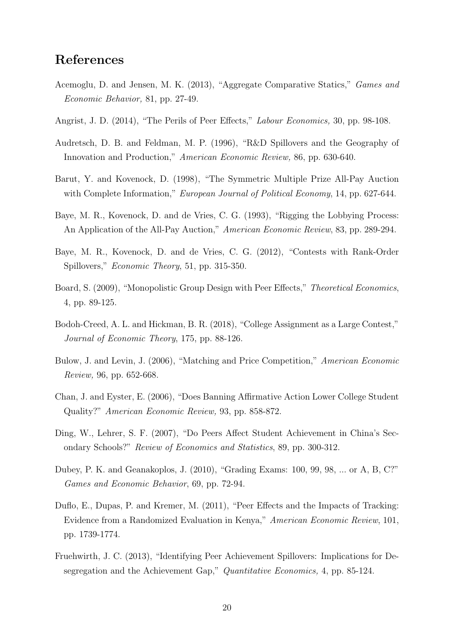# References

- <span id="page-19-11"></span>Acemoglu, D. and Jensen, M. K. (2013), "Aggregate Comparative Statics," Games and Economic Behavior, 81, pp. 27-49.
- <span id="page-19-10"></span>Angrist, J. D. (2014), "The Perils of Peer Effects," Labour Economics, 30, pp. 98-108.
- <span id="page-19-9"></span>Audretsch, D. B. and Feldman, M. P. (1996), "R&D Spillovers and the Geography of Innovation and Production," American Economic Review, 86, pp. 630-640.
- <span id="page-19-8"></span>Barut, Y. and Kovenock, D. (1998), "The Symmetric Multiple Prize All-Pay Auction with Complete Information," European Journal of Political Economy, 14, pp. 627-644.
- <span id="page-19-6"></span>Baye, M. R., Kovenock, D. and de Vries, C. G. (1993), "Rigging the Lobbying Process: An Application of the All-Pay Auction," American Economic Review, 83, pp. 289-294.
- <span id="page-19-12"></span>Baye, M. R., Kovenock, D. and de Vries, C. G. (2012), "Contests with Rank-Order Spillovers," Economic Theory, 51, pp. 315-350.
- <span id="page-19-4"></span>Board, S. (2009), "Monopolistic Group Design with Peer Effects," Theoretical Economics, 4, pp. 89-125.
- <span id="page-19-3"></span>Bodoh-Creed, A. L. and Hickman, B. R. (2018), "College Assignment as a Large Contest," Journal of Economic Theory, 175, pp. 88-126.
- <span id="page-19-2"></span>Bulow, J. and Levin, J. (2006), "Matching and Price Competition," American Economic Review, 96, pp. 652-668.
- <span id="page-19-13"></span>Chan, J. and Eyster, E. (2006), "Does Banning Affirmative Action Lower College Student Quality?" American Economic Review, 93, pp. 858-872.
- <span id="page-19-1"></span>Ding, W., Lehrer, S. F. (2007), "Do Peers Affect Student Achievement in China's Secondary Schools?" Review of Economics and Statistics, 89, pp. 300-312.
- <span id="page-19-7"></span>Dubey, P. K. and Geanakoplos, J. (2010), "Grading Exams: 100, 99, 98, ... or A, B, C?" Games and Economic Behavior, 69, pp. 72-94.
- <span id="page-19-0"></span>Duflo, E., Dupas, P. and Kremer, M. (2011), "Peer Effects and the Impacts of Tracking: Evidence from a Randomized Evaluation in Kenya," American Economic Review, 101, pp. 1739-1774.
- <span id="page-19-5"></span>Fruehwirth, J. C. (2013), "Identifying Peer Achievement Spillovers: Implications for Desegregation and the Achievement Gap," Quantitative Economics, 4, pp. 85-124.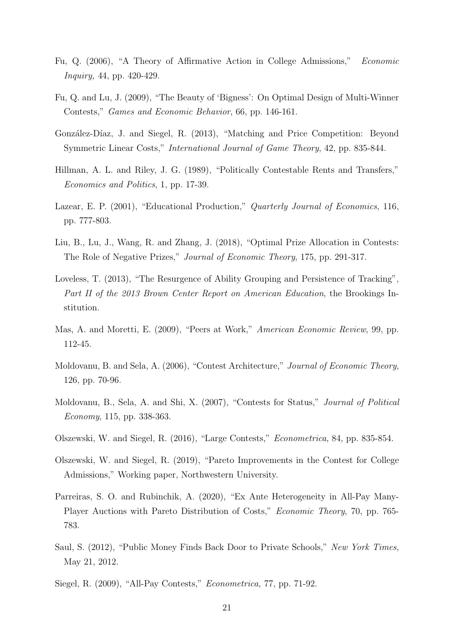- <span id="page-20-5"></span>Fu, Q. (2006), "A Theory of Affirmative Action in College Admissions," Economic Inquiry, 44, pp. 420-429.
- <span id="page-20-9"></span>Fu, Q. and Lu, J. (2009), "The Beauty of 'Bigness': On Optimal Design of Multi-Winner Contests," Games and Economic Behavior, 66, pp. 146-161.
- <span id="page-20-3"></span>González-Díaz, J. and Siegel, R. (2013), "Matching and Price Competition: Beyond Symmetric Linear Costs," International Journal of Game Theory, 42, pp. 835-844.
- <span id="page-20-2"></span>Hillman, A. L. and Riley, J. G. (1989), "Politically Contestable Rents and Transfers," Economics and Politics, 1, pp. 17-39.
- <span id="page-20-0"></span>Lazear, E. P. (2001), "Educational Production," Quarterly Journal of Economics, 116, pp. 777-803.
- <span id="page-20-12"></span>Liu, B., Lu, J., Wang, R. and Zhang, J. (2018), "Optimal Prize Allocation in Contests: The Role of Negative Prizes," Journal of Economic Theory, 175, pp. 291-317.
- <span id="page-20-1"></span>Loveless, T. (2013), "The Resurgence of Ability Grouping and Persistence of Tracking", Part II of the 2013 Brown Center Report on American Education, the Brookings Institution.
- <span id="page-20-13"></span>Mas, A. and Moretti, E. (2009), "Peers at Work," American Economic Review, 99, pp. 112-45.
- <span id="page-20-8"></span>Moldovanu, B. and Sela, A. (2006), "Contest Architecture," Journal of Economic Theory, 126, pp. 70-96.
- <span id="page-20-10"></span>Moldovanu, B., Sela, A. and Shi, X. (2007), "Contests for Status," Journal of Political Economy, 115, pp. 338-363.
- <span id="page-20-4"></span>Olszewski, W. and Siegel, R. (2016), "Large Contests," Econometrica, 84, pp. 835-854.
- <span id="page-20-6"></span>Olszewski, W. and Siegel, R. (2019), "Pareto Improvements in the Contest for College Admissions," Working paper, Northwestern University.
- <span id="page-20-7"></span>Parreiras, S. O. and Rubinchik, A. (2020), "Ex Ante Heterogeneity in All-Pay Many-Player Auctions with Pareto Distribution of Costs," Economic Theory, 70, pp. 765- 783.
- <span id="page-20-11"></span>Saul, S. (2012), "Public Money Finds Back Door to Private Schools," New York Times, May 21, 2012.
- <span id="page-20-14"></span>Siegel, R. (2009), "All-Pay Contests," Econometrica, 77, pp. 71-92.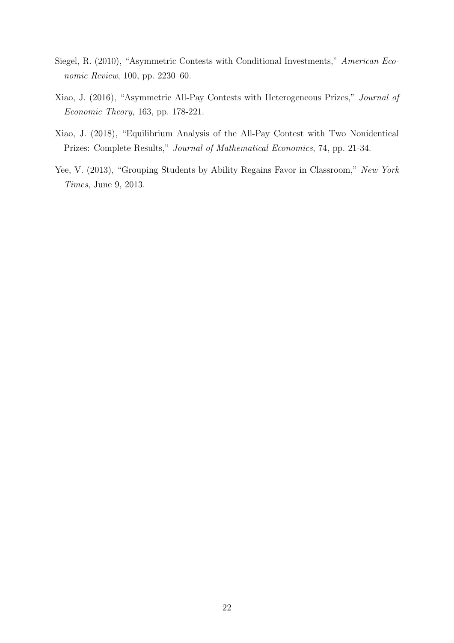- <span id="page-21-1"></span>Siegel, R. (2010), "Asymmetric Contests with Conditional Investments," American Economic Review, 100, pp. 2230–60.
- <span id="page-21-2"></span>Xiao, J. (2016), "Asymmetric All-Pay Contests with Heterogeneous Prizes," Journal of Economic Theory, 163, pp. 178-221.
- Xiao, J. (2018), "Equilibrium Analysis of the All-Pay Contest with Two Nonidentical Prizes: Complete Results," Journal of Mathematical Economics, 74, pp. 21-34.
- <span id="page-21-0"></span>Yee, V. (2013), "Grouping Students by Ability Regains Favor in Classroom," New York Times, June 9, 2013.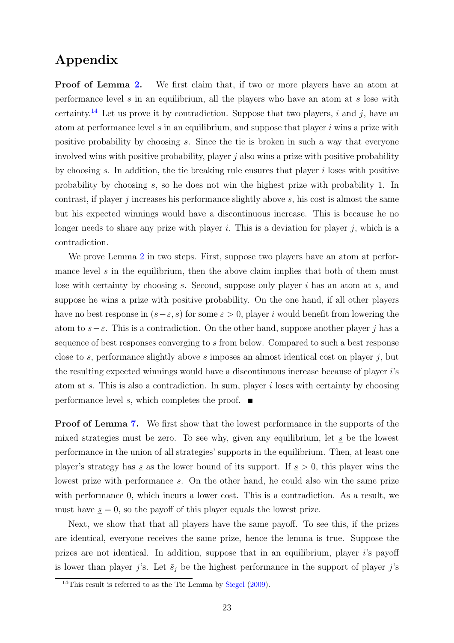# Appendix

**Proof of Lemma [2.](#page-8-0)** We first claim that, if two or more players have an atom at performance level s in an equilibrium, all the players who have an atom at s lose with certainty.<sup>[14](#page-22-0)</sup> Let us prove it by contradiction. Suppose that two players, i and j, have an atom at performance level s in an equilibrium, and suppose that player  $i$  wins a prize with positive probability by choosing s. Since the tie is broken in such a way that everyone involved wins with positive probability, player  $j$  also wins a prize with positive probability by choosing s. In addition, the tie breaking rule ensures that player i loses with positive probability by choosing s, so he does not win the highest prize with probability 1. In contrast, if player  $j$  increases his performance slightly above  $s$ , his cost is almost the same but his expected winnings would have a discontinuous increase. This is because he no longer needs to share any prize with player i. This is a deviation for player j, which is a contradiction.

We prove Lemma [2](#page-8-0) in two steps. First, suppose two players have an atom at performance level s in the equilibrium, then the above claim implies that both of them must lose with certainty by choosing s. Second, suppose only player i has an atom at s, and suppose he wins a prize with positive probability. On the one hand, if all other players have no best response in  $(s-\varepsilon, s)$  for some  $\varepsilon > 0$ , player i would benefit from lowering the atom to  $s-\varepsilon$ . This is a contradiction. On the other hand, suppose another player j has a sequence of best responses converging to s from below. Compared to such a best response close to s, performance slightly above s imposes an almost identical cost on player  $j$ , but the resulting expected winnings would have a discontinuous increase because of player i's atom at s. This is also a contradiction. In sum, player i loses with certainty by choosing performance level s, which completes the proof.  $\blacksquare$ 

Proof of Lemma [7.](#page-15-1) We first show that the lowest performance in the supports of the mixed strategies must be zero. To see why, given any equilibrium, let  $s$  be the lowest performance in the union of all strategies' supports in the equilibrium. Then, at least one player's strategy has  $\underline{s}$  as the lower bound of its support. If  $\underline{s} > 0$ , this player wins the lowest prize with performance s. On the other hand, he could also win the same prize with performance 0, which incurs a lower cost. This is a contradiction. As a result, we must have  $s = 0$ , so the payoff of this player equals the lowest prize.

Next, we show that that all players have the same payoff. To see this, if the prizes are identical, everyone receives the same prize, hence the lemma is true. Suppose the prizes are not identical. In addition, suppose that in an equilibrium, player  $i$ 's payoff is lower than player j's. Let  $\bar{s}_j$  be the highest performance in the support of player j's

<span id="page-22-0"></span><sup>&</sup>lt;sup>14</sup>This result is referred to as the Tie Lemma by [Siegel](#page-20-14)  $(2009)$ .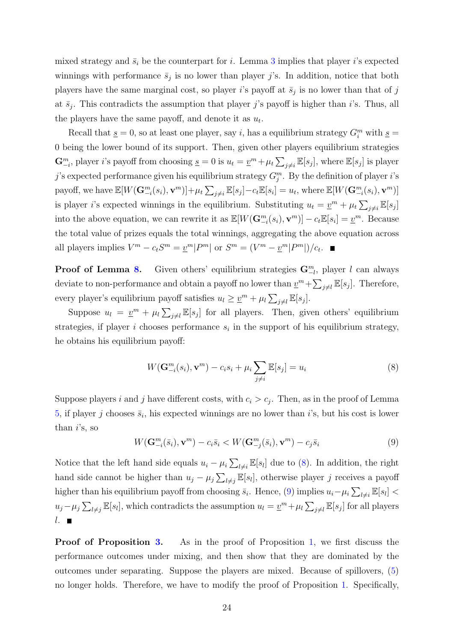mixed strategy and  $\bar{s}_i$  be the counterpart for i. Lemma [3](#page-8-1) implies that player i's expected winnings with performance  $\bar{s}_j$  is no lower than player j's. In addition, notice that both players have the same marginal cost, so player *i*'s payoff at  $\bar{s}_j$  is no lower than that of j at  $\bar{s}_j$ . This contradicts the assumption that player j's payoff is higher than i's. Thus, all the players have the same payoff, and denote it as  $u_t$ .

Recall that  $\underline{s} = 0$ , so at least one player, say *i*, has a equilibrium strategy  $G_i^m$  with  $\underline{s} =$ 0 being the lower bound of its support. Then, given other players equilibrium strategies  $\mathbf{G}_{-i}^m$ , player *i*'s payoff from choosing  $\underline{s} = 0$  is  $u_t = \underline{v}^m + \mu_t \sum_{j \neq i} \mathbb{E}[s_j]$ , where  $\mathbb{E}[s_j]$  is player j's expected performance given his equilibrium strategy  $G_j^m$ . By the definition of player i's payoff, we have  $\mathbb{E}[W(\mathbf{G}_{-i}^m(s_i), \mathbf{v}^m)] + \mu_t \sum_{j \neq i} \mathbb{E}[s_j] - c_t \mathbb{E}[s_i] = u_t$ , where  $\mathbb{E}[W(\mathbf{G}_{-i}^m(s_i), \mathbf{v}^m)]$ is player *i*'s expected winnings in the equilibrium. Substituting  $u_t = \underline{v}^m + \mu_t \sum_{j \neq i} \mathbb{E}[s_j]$ into the above equation, we can rewrite it as  $\mathbb{E}[W(\mathbf{G}_{-i}^m(s_i), \mathbf{v}^m)] - c_t \mathbb{E}[s_i] = \underline{v}^m$ . Because the total value of prizes equals the total winnings, aggregating the above equation across all players implies  $V^m - c_t S^m = \underline{v}^m |P^m|$  or  $S^m = (V^m - \underline{v}^m |P^m|)/c_t$ .

**Proof of Lemma [8.](#page-15-2)** Given others' equilibrium strategies  $\mathbf{G}_{-l}^m$ , player l can always deviate to non-performance and obtain a payoff no lower than  $\underline{v}^m + \sum_{j \neq l} \mathbb{E}[s_j]$ . Therefore, every player's equilibrium payoff satisfies  $u_l \geq \underline{v}^m + \mu_l \sum_{j \neq l} \mathbb{E}[s_j].$ 

Suppose  $u_l = \underline{v}^m + \mu_l \sum_{j \neq l} \mathbb{E}[s_j]$  for all players. Then, given others' equilibrium strategies, if player i chooses performance  $s_i$  in the support of his equilibrium strategy, he obtains his equilibrium payoff:

<span id="page-23-0"></span>
$$
W(\mathbf{G}_{-i}^{m}(s_i), \mathbf{v}^{m}) - c_i s_i + \mu_i \sum_{j \neq i} \mathbb{E}[s_j] = u_i
$$
\n(8)

Suppose players i and j have different costs, with  $c_i > c_j$ . Then, as in the proof of Lemma [5,](#page-9-0) if player j chooses  $\bar{s}_i$ , his expected winnings are no lower than i's, but his cost is lower than  $i$ 's, so

<span id="page-23-1"></span>
$$
W(\mathbf{G}_{-i}^{m}(\bar{s}_i), \mathbf{v}^m) - c_i \bar{s}_i < W(\mathbf{G}_{-j}^{m}(\bar{s}_i), \mathbf{v}^m) - c_j \bar{s}_i \tag{9}
$$

Notice that the left hand side equals  $u_i - \mu_i \sum_{l \neq i} \mathbb{E}[s_l]$  due to [\(8\)](#page-23-0). In addition, the right hand side cannot be higher than  $u_j - \mu_j \sum_{l \neq j} \mathbb{E}[s_l]$ , otherwise player j receives a payoff higher than his equilibrium payoff from choosing  $\bar{s}_i$ . Hence, [\(9\)](#page-23-1) implies  $u_i - \mu_i \sum_{l \neq i} \mathbb{E}[s_l]$  $u_j - \mu_j \sum_{l \neq j} \mathbb{E}[s_l]$ , which contradicts the assumption  $u_l = \underline{v}^m + \mu_l \sum_{j \neq l} \mathbb{E}[s_j]$  for all players  $l.$ 

**Proof of Proposition [3.](#page-15-3)** As in the proof of Proposition [1,](#page-7-2) we first discuss the performance outcomes under mixing, and then show that they are dominated by the outcomes under separating. Suppose the players are mixed. Because of spillovers, [\(5\)](#page-10-0) no longer holds. Therefore, we have to modify the proof of Proposition [1.](#page-7-2) Specifically,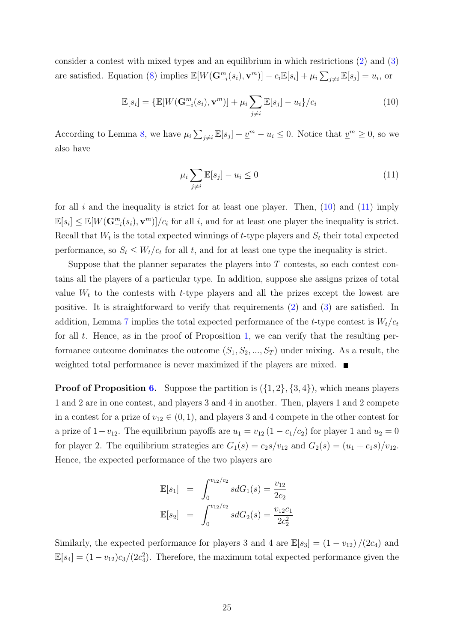consider a contest with mixed types and an equilibrium in which restrictions [\(2\)](#page-7-1) and [\(3\)](#page-7-1) are satisfied. Equation [\(8\)](#page-23-0) implies  $\mathbb{E}[W(\mathbf{G}_{-i}^{m}(s_i), \mathbf{v}^m)] - c_i \mathbb{E}[s_i] + \mu_i \sum_{j \neq i} \mathbb{E}[s_j] = u_i$ , or

<span id="page-24-0"></span>
$$
\mathbb{E}[s_i] = \{ \mathbb{E}[W(\mathbf{G}_{-i}^m(s_i), \mathbf{v}^m)] + \mu_i \sum_{j \neq i} \mathbb{E}[s_j] - u_i \} / c_i \tag{10}
$$

According to Lemma [8,](#page-15-2) we have  $\mu_i \sum_{j \neq i} \mathbb{E}[s_j] + \underline{v}^m - u_i \leq 0$ . Notice that  $\underline{v}^m \geq 0$ , so we also have

<span id="page-24-1"></span>
$$
\mu_i \sum_{j \neq i} \mathbb{E}[s_j] - u_i \le 0 \tag{11}
$$

for all i and the inequality is strict for at least one player. Then,  $(10)$  and  $(11)$  imply  $\mathbb{E}[s_i] \leq \mathbb{E}[W(\mathbf{G}_{-i}^m(s_i), \mathbf{v}^m)]/c_i$  for all i, and for at least one player the inequality is strict. Recall that  $W_t$  is the total expected winnings of t-type players and  $S_t$  their total expected performance, so  $S_t \leq W_t/c_t$  for all t, and for at least one type the inequality is strict.

Suppose that the planner separates the players into  $T$  contests, so each contest contains all the players of a particular type. In addition, suppose she assigns prizes of total value  $W_t$  to the contests with t-type players and all the prizes except the lowest are positive. It is straightforward to verify that requirements [\(2\)](#page-7-1) and [\(3\)](#page-7-1) are satisfied. In addition, Lemma [7](#page-15-1) implies the total expected performance of the t-type contest is  $W_t/c_t$ for all  $t$ . Hence, as in the proof of Proposition [1,](#page-7-2) we can verify that the resulting performance outcome dominates the outcome  $(S_1, S_2, ..., S_T)$  under mixing. As a result, the weighted total performance is never maximized if the players are mixed.

**Proof of Proposition [6.](#page-17-1)** Suppose the partition is  $({1, 2}, {3, 4})$ , which means players 1 and 2 are in one contest, and players 3 and 4 in another. Then, players 1 and 2 compete in a contest for a prize of  $v_{12} \in (0, 1)$ , and players 3 and 4 compete in the other contest for a prize of  $1-v_{12}$ . The equilibrium payoffs are  $u_1 = v_{12} (1 - c_1/c_2)$  for player 1 and  $u_2 = 0$ for player 2. The equilibrium strategies are  $G_1(s) = c_2s/v_{12}$  and  $G_2(s) = (u_1 + c_1s)/v_{12}$ . Hence, the expected performance of the two players are

$$
\mathbb{E}[s_1] = \int_0^{v_{12}/c_2} s dG_1(s) = \frac{v_{12}}{2c_2}
$$

$$
\mathbb{E}[s_2] = \int_0^{v_{12}/c_2} s dG_2(s) = \frac{v_{12}c_1}{2c_2^2}
$$

Similarly, the expected performance for players 3 and 4 are  $\mathbb{E}[s_3] = (1 - v_{12})/(2c_4)$  and  $\mathbb{E}[s_4] = (1 - v_{12})c_3/(2c_4^2)$ . Therefore, the maximum total expected performance given the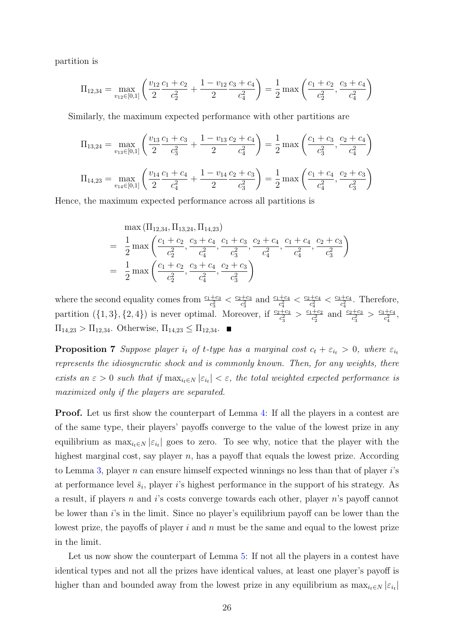partition is

$$
\Pi_{12,34} = \max_{v_{12} \in [0,1]} \left( \frac{v_{12}c_1 + c_2}{2} + \frac{1 - v_{12}c_3 + c_4}{2} \right) = \frac{1}{2} \max \left( \frac{c_1 + c_2}{c_2^2}, \frac{c_3 + c_4}{c_4^2} \right)
$$

Similarly, the maximum expected performance with other partitions are

$$
\Pi_{13,24} = \max_{v_{13} \in [0,1]} \left( \frac{v_{13}}{2} \frac{c_1 + c_3}{c_3^2} + \frac{1 - v_{13}}{2} \frac{c_2 + c_4}{c_4^2} \right) = \frac{1}{2} \max \left( \frac{c_1 + c_3}{c_3^2}, \frac{c_2 + c_4}{c_4^2} \right)
$$

$$
\Pi_{14,23} = \max_{v_{14} \in [0,1]} \left( \frac{v_{14}}{2} \frac{c_1 + c_4}{c_4^2} + \frac{1 - v_{14}}{2} \frac{c_2 + c_3}{c_3^2} \right) = \frac{1}{2} \max \left( \frac{c_1 + c_4}{c_4^2}, \frac{c_2 + c_3}{c_3^2} \right)
$$

Hence, the maximum expected performance across all partitions is

max 
$$
(\Pi_{12,34}, \Pi_{13,24}, \Pi_{14,23})
$$
  
\n
$$
= \frac{1}{2} \max \left( \frac{c_1 + c_2}{c_2^2}, \frac{c_3 + c_4}{c_4^2}, \frac{c_1 + c_3}{c_3^2}, \frac{c_2 + c_4}{c_4^2}, \frac{c_1 + c_4}{c_4^2}, \frac{c_2 + c_3}{c_3^2} \right)
$$
\n
$$
= \frac{1}{2} \max \left( \frac{c_1 + c_2}{c_2^2}, \frac{c_3 + c_4}{c_4^2}, \frac{c_2 + c_3}{c_3^2} \right)
$$

where the second equality comes from  $\frac{c_1+c_3}{c_3^2} < \frac{c_2+c_3}{c_3^2}$  $\frac{+c_3}{c_3^2}$  and  $\frac{c_1+c_4}{c_4^2} < \frac{c_2+c_4}{c_4^2}$  $\frac{c_1+c_4}{c_4^2}< \frac{c_3+c_4}{c_4^2}$  $\frac{c_1+c_4}{c_4^2}$ . Therefore, partition  $(\{1,3\},\{2,4\})$  is never optimal. Moreover, if  $\frac{c_2+c_3}{c_3^2} > \frac{c_1+c_2}{c_2^2}$  $\frac{+c_2}{c_2^2}$  and  $\frac{c_2+c_3}{c_3^2} > \frac{c_3+c_4}{c_4^2}$  $\frac{+c_4}{c_4^2},$  $\Pi_{14,23} > \Pi_{12,34}$ . Otherwise,  $\Pi_{14,23} \leq \Pi_{12,34}$ .

<span id="page-25-0"></span>**Proposition 7** Suppose player i<sub>t</sub> of t-type has a marginal cost  $c_t + \varepsilon_{i_t} > 0$ , where  $\varepsilon_{i_t}$ represents the idiosyncratic shock and is commonly known. Then, for any weights, there exists an  $\varepsilon > 0$  such that if  $\max_{i \in N} |\varepsilon_{i}| < \varepsilon$ , the total weighted expected performance is maximized only if the players are separated.

Proof. Let us first show the counterpart of Lemma [4:](#page-9-2) If all the players in a contest are of the same type, their players' payoffs converge to the value of the lowest prize in any equilibrium as  $\max_{i \in \mathbb{N}} |\varepsilon_{i}|$  goes to zero. To see why, notice that the player with the highest marginal cost, say player  $n$ , has a payoff that equals the lowest prize. According to Lemma [3,](#page-8-1) player n can ensure himself expected winnings no less than that of player  $i$ 's at performance level  $\bar{s}_i$ , player i's highest performance in the support of his strategy. As a result, if players n and i's costs converge towards each other, player n's payoff cannot be lower than i's in the limit. Since no player's equilibrium payoff can be lower than the lowest prize, the payoffs of player i and n must be the same and equal to the lowest prize in the limit.

Let us now show the counterpart of Lemma [5:](#page-9-0) If not all the players in a contest have identical types and not all the prizes have identical values, at least one player's payoff is higher than and bounded away from the lowest prize in any equilibrium as  $\max_{i \in N} |\varepsilon_{i}|$